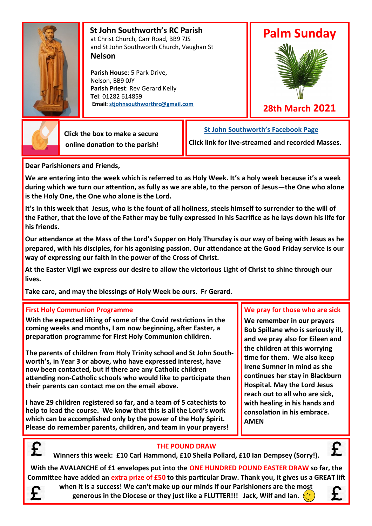

 **St John Southworth's RC Parish** at Christ Church, Carr Road, BB9 7JS and St John Southworth Church, Vaughan St **Nelson**

 **Parish House**: 5 Park Drive, Nelson, BB9 0JY **Parish Priest**: Rev Gerard Kelly **Tel**: 01282 614859 **Email: [stjohnsouthworthrc@gmail.com](mailto:stjohnsouthworth@gmail.com)**

# **Palm Sunday**



**28th March 2021**

 **Click the box to make a secure online donation to the parish!** **[St John Southworth's Facebook Page](https://www.facebook.com/Parish-of-St-John-Southworth-in-Nelson-105718084323986)**

**Click link for live-streamed and recorded Masses.**

**Dear Parishioners and Friends,**

**We are entering into the week which is referred to as Holy Week. It's a holy week because it's a week during which we turn our attention, as fully as we are able, to the person of Jesus—the One who alone is the Holy One, the One who alone is the Lord.**

**It's in this week that Jesus, who is the fount of all holiness, steels himself to surrender to the will of the Father, that the love of the Father may be fully expressed in his Sacrifice as he lays down his life for his friends.**

**Our attendance at the Mass of the Lord's Supper on Holy Thursday is our way of being with Jesus as he prepared, with his disciples, for his agonising passion. Our attendance at the Good Friday service is our way of expressing our faith in the power of the Cross of Christ.** 

**At the Easter Vigil we express our desire to allow the victorious Light of Christ to shine through our lives.** 

**Take care, and may the blessings of Holy Week be ours. Fr Gerard**.

#### **First Holy Communion Programme**

**With the expected lifting of some of the Covid restrictions in the coming weeks and months, I am now beginning, after Easter, a preparation programme for First Holy Communion children.** 

**The parents of children from Holy Trinity school and St John Southworth's, in Year 3 or above, who have expressed interest, have now been contacted, but if there are any Catholic children attending non-Catholic schools who would like to participate then their parents can contact me on the email above.** 

**I have 29 children registered so far, and a team of 5 catechists to help to lead the course. We know that this is all the Lord's work which can be accomplished only by the power of the Holy Spirit. Please do remember parents, children, and team in your prayers!**

### **We pray for those who are sick**

**We remember in our prayers Bob Spillane who is seriously ill, and we pray also for Eileen and the children at this worrying time for them. We also keep Irene Sumner in mind as she continues her stay in Blackburn Hospital. May the Lord Jesus reach out to all who are sick, with healing in his hands and consolation in his embrace. AMEN**



#### **THE POUND DRAW**

**Winners this week: £10 Carl Hammond, £10 Sheila Pollard, £10 Ian Dempsey (Sorry!).**

**With the AVALANCHE of £1 envelopes put into the ONE HUNDRED POUND EASTER DRAW so far, the Committee have added an extra prize of £50 to this particular Draw. Thank you, it gives us a GREAT lift** 



**when it is a success! We can't make up our minds if our Parishioners are the most generous in the Diocese or they just like a FLUTTER!!! Jack, Wilf and Ian.**



£